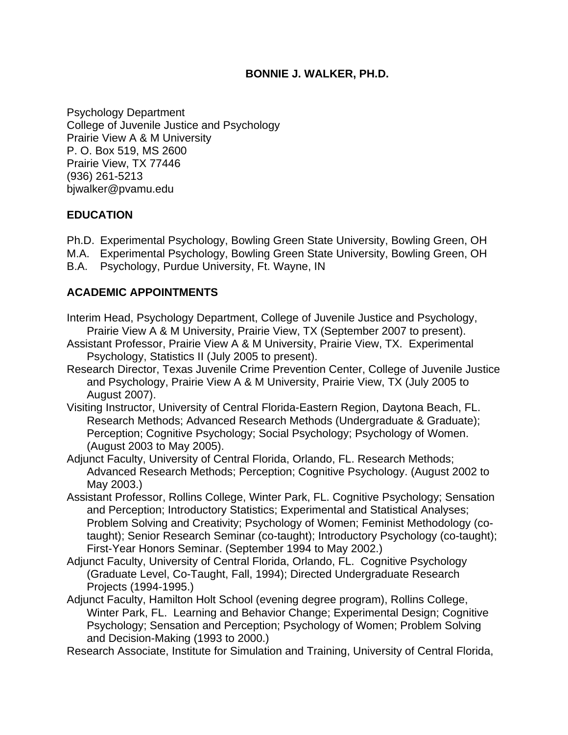#### **BONNIE J. WALKER, PH.D.**

Psychology Department College of Juvenile Justice and Psychology Prairie View A & M University P. O. Box 519, MS 2600 Prairie View, TX 77446 (936) 261-5213 bjwalker@pvamu.edu

#### **EDUCATION**

- Ph.D. Experimental Psychology, Bowling Green State University, Bowling Green, OH
- M.A. Experimental Psychology, Bowling Green State University, Bowling Green, OH
- B.A. Psychology, Purdue University, Ft. Wayne, IN

#### **ACADEMIC APPOINTMENTS**

- Interim Head, Psychology Department, College of Juvenile Justice and Psychology, Prairie View A & M University, Prairie View, TX (September 2007 to present).
- Assistant Professor, Prairie View A & M University, Prairie View, TX. Experimental Psychology, Statistics II (July 2005 to present).
- Research Director, Texas Juvenile Crime Prevention Center, College of Juvenile Justice and Psychology, Prairie View A & M University, Prairie View, TX (July 2005 to August 2007).
- Visiting Instructor, University of Central Florida-Eastern Region, Daytona Beach, FL. Research Methods; Advanced Research Methods (Undergraduate & Graduate); Perception; Cognitive Psychology; Social Psychology; Psychology of Women. (August 2003 to May 2005).
- Adjunct Faculty, University of Central Florida, Orlando, FL. Research Methods; Advanced Research Methods; Perception; Cognitive Psychology. (August 2002 to May 2003.)
- Assistant Professor, Rollins College, Winter Park, FL. Cognitive Psychology; Sensation and Perception; Introductory Statistics; Experimental and Statistical Analyses; Problem Solving and Creativity; Psychology of Women; Feminist Methodology (cotaught); Senior Research Seminar (co-taught); Introductory Psychology (co-taught); First-Year Honors Seminar. (September 1994 to May 2002.)
- Adjunct Faculty, University of Central Florida, Orlando, FL. Cognitive Psychology (Graduate Level, Co-Taught, Fall, 1994); Directed Undergraduate Research Projects (1994-1995.)
- Adjunct Faculty, Hamilton Holt School (evening degree program), Rollins College, Winter Park, FL. Learning and Behavior Change; Experimental Design; Cognitive Psychology; Sensation and Perception; Psychology of Women; Problem Solving and Decision-Making (1993 to 2000.)
- Research Associate, Institute for Simulation and Training, University of Central Florida,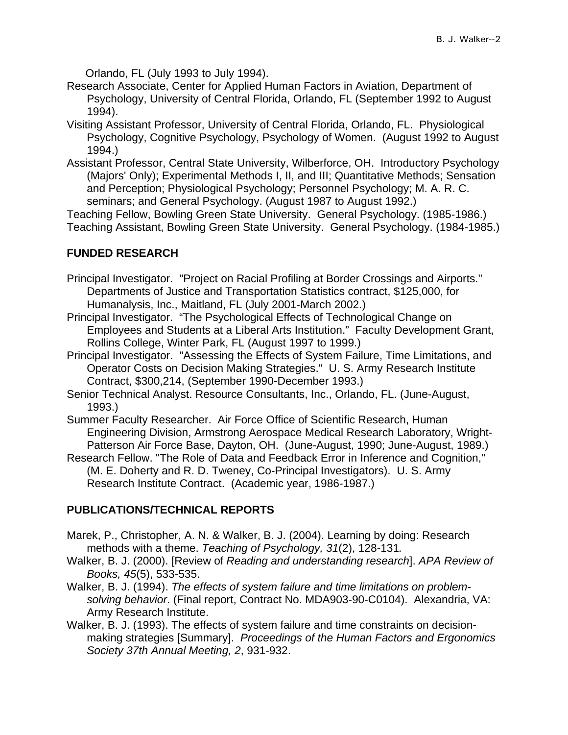Orlando, FL (July 1993 to July 1994).

- Research Associate, Center for Applied Human Factors in Aviation, Department of Psychology, University of Central Florida, Orlando, FL (September 1992 to August 1994).
- Visiting Assistant Professor, University of Central Florida, Orlando, FL. Physiological Psychology, Cognitive Psychology, Psychology of Women. (August 1992 to August 1994.)
- Assistant Professor, Central State University, Wilberforce, OH. Introductory Psychology (Majors' Only); Experimental Methods I, II, and III; Quantitative Methods; Sensation and Perception; Physiological Psychology; Personnel Psychology; M. A. R. C. seminars; and General Psychology. (August 1987 to August 1992.)

Teaching Fellow, Bowling Green State University. General Psychology. (1985-1986.) Teaching Assistant, Bowling Green State University. General Psychology. (1984-1985.)

#### **FUNDED RESEARCH**

Principal Investigator. "Project on Racial Profiling at Border Crossings and Airports." Departments of Justice and Transportation Statistics contract, \$125,000, for Humanalysis, Inc., Maitland, FL (July 2001-March 2002.)

- Principal Investigator. "The Psychological Effects of Technological Change on Employees and Students at a Liberal Arts Institution." Faculty Development Grant, Rollins College, Winter Park, FL (August 1997 to 1999.)
- Principal Investigator. "Assessing the Effects of System Failure, Time Limitations, and Operator Costs on Decision Making Strategies." U. S. Army Research Institute Contract, \$300,214, (September 1990-December 1993.)
- Senior Technical Analyst. Resource Consultants, Inc., Orlando, FL. (June-August, 1993.)
- Summer Faculty Researcher. Air Force Office of Scientific Research, Human Engineering Division, Armstrong Aerospace Medical Research Laboratory, Wright-Patterson Air Force Base, Dayton, OH. (June-August, 1990; June-August, 1989.)
- Research Fellow. "The Role of Data and Feedback Error in Inference and Cognition," (M. E. Doherty and R. D. Tweney, Co-Principal Investigators). U. S. Army Research Institute Contract. (Academic year, 1986-1987.)

## **PUBLICATIONS/TECHNICAL REPORTS**

- Marek, P., Christopher, A. N. & Walker, B. J. (2004). Learning by doing: Research methods with a theme. *Teaching of Psychology, 31*(2), 128-131*.*
- Walker, B. J. (2000). [Review of *Reading and understanding research*]. *APA Review of Books, 45*(5), 533-535.
- Walker, B. J. (1994). *The effects of system failure and time limitations on problemsolving behavior*. (Final report, Contract No. MDA903-90-C0104). Alexandria, VA: Army Research Institute.
- Walker, B. J. (1993). The effects of system failure and time constraints on decisionmaking strategies [Summary]. *Proceedings of the Human Factors and Ergonomics Society 37th Annual Meeting, 2*, 931-932.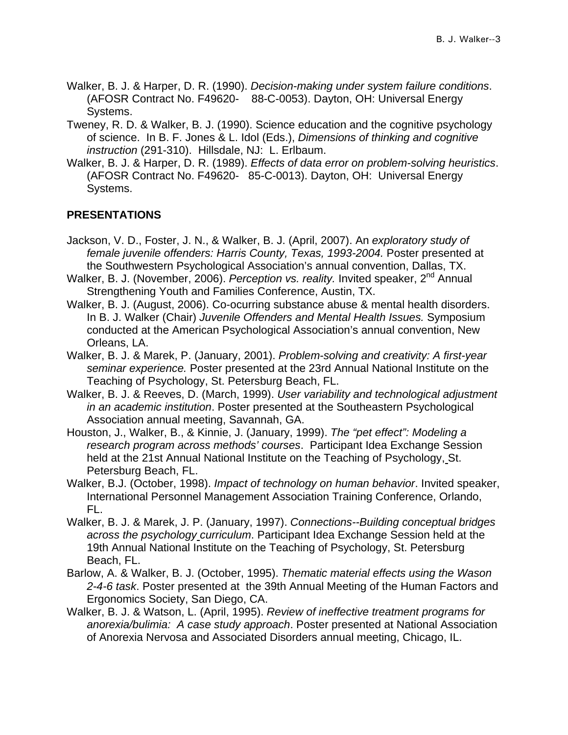- Walker, B. J. & Harper, D. R. (1990). *Decision-making under system failure conditions*. (AFOSR Contract No. F49620- 88-C-0053). Dayton, OH: Universal Energy Systems.
- Tweney, R. D. & Walker, B. J. (1990). Science education and the cognitive psychology of science. In B. F. Jones & L. Idol (Eds.), *Dimensions of thinking and cognitive instruction* (291-310). Hillsdale, NJ: L. Erlbaum.
- Walker, B. J. & Harper, D. R. (1989). *Effects of data error on problem-solving heuristics*. (AFOSR Contract No. F49620- 85-C-0013). Dayton, OH: Universal Energy Systems.

## **PRESENTATIONS**

- Jackson, V. D., Foster, J. N., & Walker, B. J. (April, 2007). An *exploratory study of*  female juvenile offenders: Harris County, Texas, 1993-2004. Poster presented at the Southwestern Psychological Association's annual convention, Dallas, TX.
- Walker, B. J. (November, 2006). *Perception vs. reality.* Invited speaker, 2<sup>nd</sup> Annual Strengthening Youth and Families Conference, Austin, TX.
- Walker, B. J. (August, 2006). Co-ocurring substance abuse & mental health disorders. In B. J. Walker (Chair) *Juvenile Offenders and Mental Health Issues.* Symposium conducted at the American Psychological Association's annual convention, New Orleans, LA.
- Walker, B. J. & Marek, P. (January, 2001). *Problem-solving and creativity: A first-year seminar experience.* Poster presented at the 23rd Annual National Institute on the Teaching of Psychology, St. Petersburg Beach, FL.
- Walker, B. J. & Reeves, D. (March, 1999). *User variability and technological adjustment in an academic institution*. Poster presented at the Southeastern Psychological Association annual meeting, Savannah, GA.
- Houston, J., Walker, B., & Kinnie, J. (January, 1999). *The "pet effect": Modeling a research program across methods' courses*. Participant Idea Exchange Session held at the 21st Annual National Institute on the Teaching of Psychology, St. Petersburg Beach, FL.
- Walker, B.J. (October, 1998). *Impact of technology on human behavior*. Invited speaker, International Personnel Management Association Training Conference, Orlando, FL.
- Walker, B. J. & Marek, J. P. (January, 1997). *Connections--Building conceptual bridges across the psychology curriculum*. Participant Idea Exchange Session held at the 19th Annual National Institute on the Teaching of Psychology, St. Petersburg Beach, FL.
- Barlow, A. & Walker, B. J. (October, 1995). *Thematic material effects using the Wason 2-4-6 task*. Poster presented at the 39th Annual Meeting of the Human Factors and Ergonomics Society, San Diego, CA.
- Walker, B. J. & Watson, L. (April, 1995). *Review of ineffective treatment programs for anorexia/bulimia: A case study approach*. Poster presented at National Association of Anorexia Nervosa and Associated Disorders annual meeting, Chicago, IL.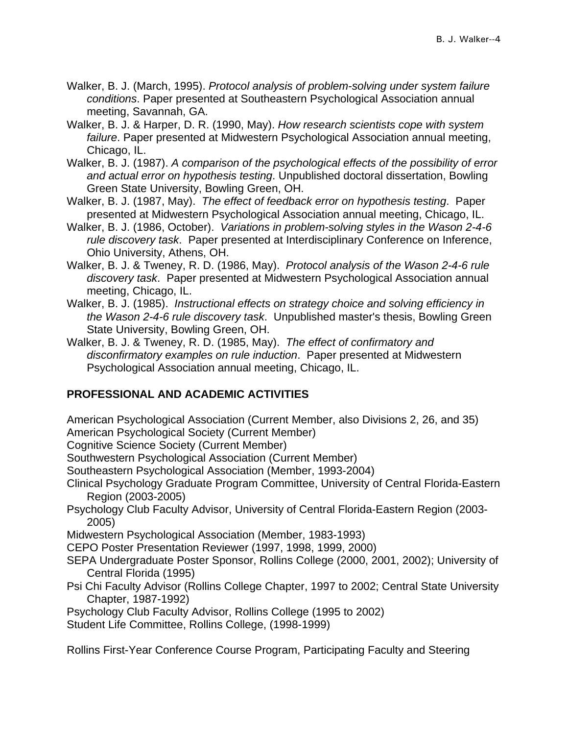- Walker, B. J. (March, 1995). *Protocol analysis of problem-solving under system failure conditions*. Paper presented at Southeastern Psychological Association annual meeting, Savannah, GA.
- Walker, B. J. & Harper, D. R. (1990, May). *How research scientists cope with system failure*. Paper presented at Midwestern Psychological Association annual meeting, Chicago, IL.
- Walker, B. J. (1987). *A comparison of the psychological effects of the possibility of error and actual error on hypothesis testing*. Unpublished doctoral dissertation, Bowling Green State University, Bowling Green, OH.
- Walker, B. J. (1987, May). *The effect of feedback error on hypothesis testing*. Paper presented at Midwestern Psychological Association annual meeting, Chicago, IL.
- Walker, B. J. (1986, October). *Variations in problem-solving styles in the Wason 2-4-6 rule discovery task*. Paper presented at Interdisciplinary Conference on Inference, Ohio University, Athens, OH.
- Walker, B. J. & Tweney, R. D. (1986, May). *Protocol analysis of the Wason 2-4-6 rule discovery task*. Paper presented at Midwestern Psychological Association annual meeting, Chicago, IL.
- Walker, B. J. (1985). *Instructional effects on strategy choice and solving efficiency in the Wason 2-4-6 rule discovery task*. Unpublished master's thesis, Bowling Green State University, Bowling Green, OH.
- Walker, B. J. & Tweney, R. D. (1985, May). *The effect of confirmatory and disconfirmatory examples on rule induction*. Paper presented at Midwestern Psychological Association annual meeting, Chicago, IL.

# **PROFESSIONAL AND ACADEMIC ACTIVITIES**

American Psychological Association (Current Member, also Divisions 2, 26, and 35) American Psychological Society (Current Member)

Cognitive Science Society (Current Member)

Southwestern Psychological Association (Current Member)

Southeastern Psychological Association (Member, 1993-2004)

- Clinical Psychology Graduate Program Committee, University of Central Florida-Eastern Region (2003-2005)
- Psychology Club Faculty Advisor, University of Central Florida-Eastern Region (2003- 2005)

Midwestern Psychological Association (Member, 1983-1993)

CEPO Poster Presentation Reviewer (1997, 1998, 1999, 2000)

- SEPA Undergraduate Poster Sponsor, Rollins College (2000, 2001, 2002); University of Central Florida (1995)
- Psi Chi Faculty Advisor (Rollins College Chapter, 1997 to 2002; Central State University Chapter, 1987-1992)
- Psychology Club Faculty Advisor, Rollins College (1995 to 2002)

Student Life Committee, Rollins College, (1998-1999)

Rollins First-Year Conference Course Program, Participating Faculty and Steering